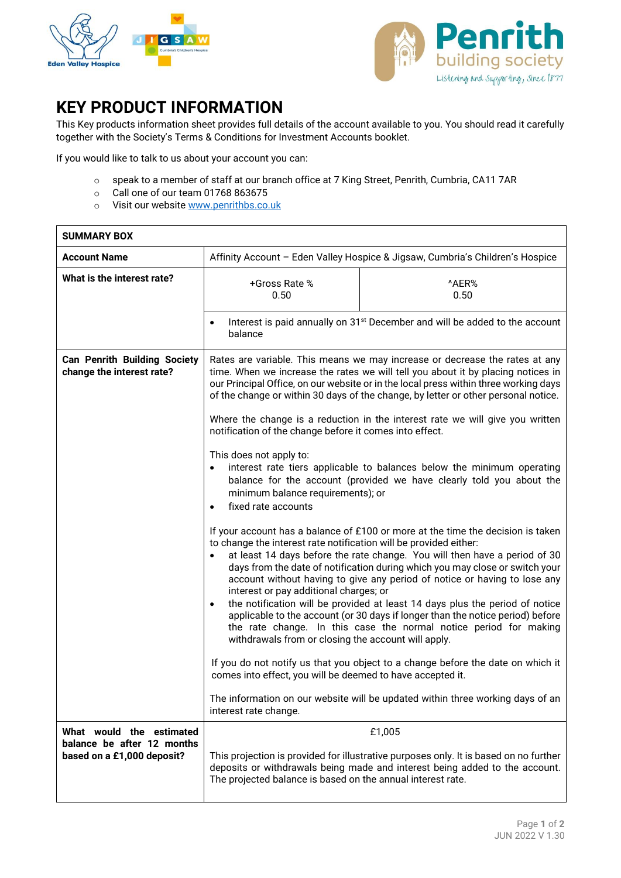



## **KEY PRODUCT INFORMATION**

This Key products information sheet provides full details of the account available to you. You should read it carefully together with the Society's Terms & Conditions for Investment Accounts booklet.

If you would like to talk to us about your account you can:

- o speak to a member of staff at our branch office at 7 King Street, Penrith, Cumbria, CA11 7AR
- o Call one of our team 01768 863675
- o Visit our websit[e www.penrithbs.co.uk](http://www.penrithbuildingsociety.co.uk/)

| <b>SUMMARY BOX</b>                                                                   |                                                                                                                                                                                                                                                                                                                                                                                                                                                                                                                                                                                                                                                                                                                                                      |                                                                                                                                                                                |
|--------------------------------------------------------------------------------------|------------------------------------------------------------------------------------------------------------------------------------------------------------------------------------------------------------------------------------------------------------------------------------------------------------------------------------------------------------------------------------------------------------------------------------------------------------------------------------------------------------------------------------------------------------------------------------------------------------------------------------------------------------------------------------------------------------------------------------------------------|--------------------------------------------------------------------------------------------------------------------------------------------------------------------------------|
| <b>Account Name</b>                                                                  | Affinity Account - Eden Valley Hospice & Jigsaw, Cumbria's Children's Hospice                                                                                                                                                                                                                                                                                                                                                                                                                                                                                                                                                                                                                                                                        |                                                                                                                                                                                |
| What is the interest rate?                                                           | +Gross Rate %<br>0.50                                                                                                                                                                                                                                                                                                                                                                                                                                                                                                                                                                                                                                                                                                                                | ^AER%<br>0.50                                                                                                                                                                  |
|                                                                                      | Interest is paid annually on 31 <sup>st</sup> December and will be added to the account<br>balance                                                                                                                                                                                                                                                                                                                                                                                                                                                                                                                                                                                                                                                   |                                                                                                                                                                                |
| <b>Can Penrith Building Society</b><br>change the interest rate?                     | Rates are variable. This means we may increase or decrease the rates at any<br>time. When we increase the rates we will tell you about it by placing notices in<br>our Principal Office, on our website or in the local press within three working days<br>of the change or within 30 days of the change, by letter or other personal notice.<br>Where the change is a reduction in the interest rate we will give you written<br>notification of the change before it comes into effect.<br>This does not apply to:<br>interest rate tiers applicable to balances below the minimum operating<br>$\bullet$<br>balance for the account (provided we have clearly told you about the<br>minimum balance requirements); or<br>fixed rate accounts      |                                                                                                                                                                                |
|                                                                                      |                                                                                                                                                                                                                                                                                                                                                                                                                                                                                                                                                                                                                                                                                                                                                      |                                                                                                                                                                                |
|                                                                                      | If your account has a balance of £100 or more at the time the decision is taken<br>to change the interest rate notification will be provided either:<br>at least 14 days before the rate change. You will then have a period of 30<br>days from the date of notification during which you may close or switch your<br>account without having to give any period of notice or having to lose any<br>interest or pay additional charges; or<br>the notification will be provided at least 14 days plus the period of notice<br>$\bullet$<br>applicable to the account (or 30 days if longer than the notice period) before<br>the rate change. In this case the normal notice period for making<br>withdrawals from or closing the account will apply. |                                                                                                                                                                                |
|                                                                                      | comes into effect, you will be deemed to have accepted it.                                                                                                                                                                                                                                                                                                                                                                                                                                                                                                                                                                                                                                                                                           | If you do not notify us that you object to a change before the date on which it                                                                                                |
|                                                                                      | interest rate change.                                                                                                                                                                                                                                                                                                                                                                                                                                                                                                                                                                                                                                                                                                                                | The information on our website will be updated within three working days of an                                                                                                 |
| What would the estimated<br>balance be after 12 months<br>based on a £1,000 deposit? | The projected balance is based on the annual interest rate.                                                                                                                                                                                                                                                                                                                                                                                                                                                                                                                                                                                                                                                                                          | £1,005<br>This projection is provided for illustrative purposes only. It is based on no further<br>deposits or withdrawals being made and interest being added to the account. |